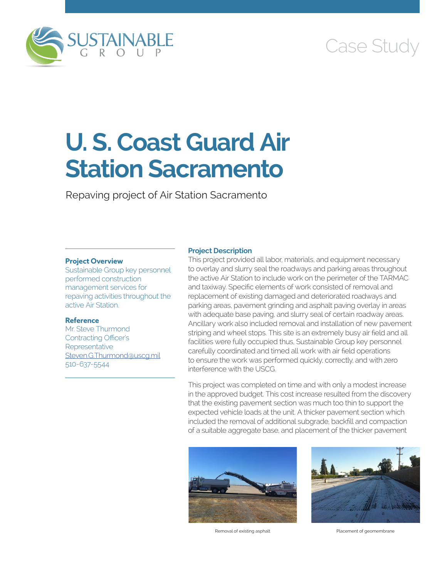

# Case Study

# **U. S. Coast Guard Air Station Sacramento**

Repaving project of Air Station Sacramento

# **Project Overview**

Sustainable Group key personnel performed construction management services for repaving activities throughout the active Air Station.

# **Reference**

Mr. Steve Thurmond Contracting Officer's **Representative** [Steven.G.Thurmond@uscg.mil](mailto:Steven.G.Thurmond@uscg.mil) 510-637-5544

### **Project Description**

This project provided all labor, materials, and equipment necessary to overlay and slurry seal the roadways and parking areas throughout the active Air Station to include work on the perimeter of the TARMAC and taxiway. Specific elements of work consisted of removal and replacement of existing damaged and deteriorated roadways and parking areas, pavement grinding and asphalt paving overlay in areas with adequate base paving, and slurry seal of certain roadway areas. Ancillary work also included removal and installation of new pavement striping and wheel stops. This site is an extremely busy air field and all facilities were fully occupied thus, Sustainable Group key personnel carefully coordinated and timed all work with air field operations to ensure the work was performed quickly, correctly, and with zero interference with the USCG.

This project was completed on time and with only a modest increase in the approved budget. This cost increase resulted from the discovery that the existing pavement section was much too thin to support the expected vehicle loads at the unit. A thicker pavement section which included the removal of additional subgrade, backfill and compaction of a suitable aggregate base, and placement of the thicker pavement



Removal of existing asphalt **Placement of geomembrane**